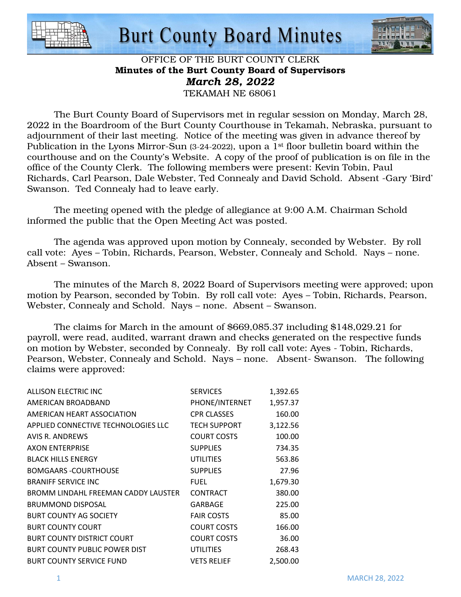



#### OFFICE OF THE BURT COUNTY CLERK Minutes of the Burt County Board of Supervisors *March 28, 2022*  TEKAMAH NE 68061

 The Burt County Board of Supervisors met in regular session on Monday, March 28, 2022 in the Boardroom of the Burt County Courthouse in Tekamah, Nebraska, pursuant to adjournment of their last meeting. Notice of the meeting was given in advance thereof by Publication in the Lyons Mirror-Sun (3-24-2022), upon a 1<sup>st</sup> floor bulletin board within the courthouse and on the County's Website. A copy of the proof of publication is on file in the office of the County Clerk. The following members were present: Kevin Tobin, Paul Richards, Carl Pearson, Dale Webster, Ted Connealy and David Schold. Absent -Gary 'Bird' Swanson. Ted Connealy had to leave early.

The meeting opened with the pledge of allegiance at 9:00 A.M. Chairman Schold informed the public that the Open Meeting Act was posted.

The agenda was approved upon motion by Connealy, seconded by Webster. By roll call vote: Ayes – Tobin, Richards, Pearson, Webster, Connealy and Schold. Nays – none. Absent – Swanson.

The minutes of the March 8, 2022 Board of Supervisors meeting were approved; upon motion by Pearson, seconded by Tobin. By roll call vote: Ayes – Tobin, Richards, Pearson, Webster, Connealy and Schold. Nays – none. Absent – Swanson.

The claims for March in the amount of \$669,085.37 including \$148,029.21 for payroll, were read, audited, warrant drawn and checks generated on the respective funds on motion by Webster, seconded by Connealy. By roll call vote: Ayes - Tobin, Richards, Pearson, Webster, Connealy and Schold. Nays – none. Absent- Swanson. The following claims were approved:

| ALLISON ELECTRIC INC                 | <b>SERVICES</b>     | 1,392.65 |
|--------------------------------------|---------------------|----------|
|                                      |                     |          |
| AMERICAN BROADBAND                   | PHONE/INTERNET      | 1,957.37 |
| AMERICAN HEART ASSOCIATION           | <b>CPR CLASSES</b>  | 160.00   |
| APPLIED CONNECTIVE TECHNOLOGIES LLC  | <b>TECH SUPPORT</b> | 3,122.56 |
| AVIS R. ANDREWS                      | <b>COURT COSTS</b>  | 100.00   |
| <b>AXON ENTERPRISE</b>               | <b>SUPPLIES</b>     | 734.35   |
| <b>BLACK HILLS ENERGY</b>            | <b>UTILITIES</b>    | 563.86   |
| <b>BOMGAARS -COURTHOUSE</b>          | <b>SUPPLIES</b>     | 27.96    |
| <b>BRANIFF SERVICE INC</b>           | <b>FUEL</b>         | 1,679.30 |
| BROMM LINDAHL FREEMAN CADDY LAUSTER  | <b>CONTRACT</b>     | 380.00   |
| <b>BRUMMOND DISPOSAL</b>             | GARBAGE             | 225.00   |
| <b>BURT COUNTY AG SOCIETY</b>        | <b>FAIR COSTS</b>   | 85.00    |
| <b>BURT COUNTY COURT</b>             | <b>COURT COSTS</b>  | 166.00   |
| <b>BURT COUNTY DISTRICT COURT</b>    | <b>COURT COSTS</b>  | 36.00    |
| <b>BURT COUNTY PUBLIC POWER DIST</b> | UTILITIES           | 268.43   |
| <b>BURT COUNTY SERVICE FUND</b>      | <b>VETS RELIEF</b>  | 2,500.00 |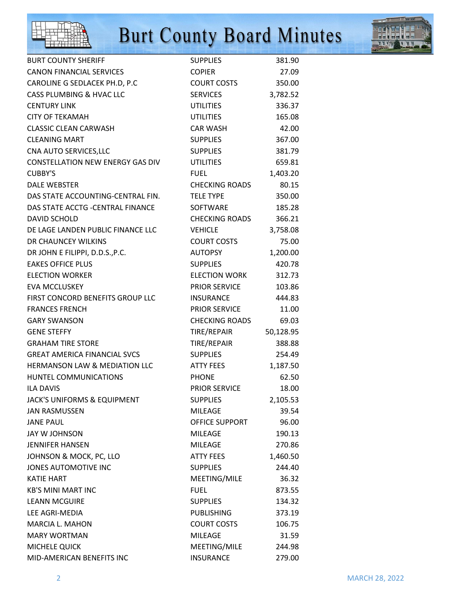



| <b>BURT COUNTY SHERIFF</b>               | <b>SUPPLIES</b>       | 381.90    |
|------------------------------------------|-----------------------|-----------|
| <b>CANON FINANCIAL SERVICES</b>          | <b>COPIER</b>         | 27.09     |
| CAROLINE G SEDLACEK PH.D, P.C            | <b>COURT COSTS</b>    | 350.00    |
| CASS PLUMBING & HVAC LLC                 | <b>SERVICES</b>       | 3,782.52  |
| <b>CENTURY LINK</b>                      | <b>UTILITIES</b>      | 336.37    |
| <b>CITY OF TEKAMAH</b>                   | <b>UTILITIES</b>      | 165.08    |
| <b>CLASSIC CLEAN CARWASH</b>             | <b>CAR WASH</b>       | 42.00     |
| <b>CLEANING MART</b>                     | <b>SUPPLIES</b>       | 367.00    |
| CNA AUTO SERVICES, LLC                   | <b>SUPPLIES</b>       | 381.79    |
| <b>CONSTELLATION NEW ENERGY GAS DIV</b>  | <b>UTILITIES</b>      | 659.81    |
| <b>CUBBY'S</b>                           | <b>FUEL</b>           | 1,403.20  |
| <b>DALE WEBSTER</b>                      | <b>CHECKING ROADS</b> | 80.15     |
| DAS STATE ACCOUNTING-CENTRAL FIN.        | <b>TELE TYPE</b>      | 350.00    |
| DAS STATE ACCTG - CENTRAL FINANCE        | <b>SOFTWARE</b>       | 185.28    |
| <b>DAVID SCHOLD</b>                      | <b>CHECKING ROADS</b> | 366.21    |
| DE LAGE LANDEN PUBLIC FINANCE LLC        | <b>VEHICLE</b>        | 3,758.08  |
| DR CHAUNCEY WILKINS                      | <b>COURT COSTS</b>    | 75.00     |
| DR JOHN E FILIPPI, D.D.S., P.C.          | <b>AUTOPSY</b>        | 1,200.00  |
| <b>EAKES OFFICE PLUS</b>                 | <b>SUPPLIES</b>       | 420.78    |
| <b>ELECTION WORKER</b>                   | <b>ELECTION WORK</b>  | 312.73    |
| <b>EVA MCCLUSKEY</b>                     | <b>PRIOR SERVICE</b>  | 103.86    |
| FIRST CONCORD BENEFITS GROUP LLC         | <b>INSURANCE</b>      | 444.83    |
| <b>FRANCES FRENCH</b>                    | <b>PRIOR SERVICE</b>  | 11.00     |
| <b>GARY SWANSON</b>                      | <b>CHECKING ROADS</b> | 69.03     |
| <b>GENE STEFFY</b>                       | TIRE/REPAIR           | 50,128.95 |
| <b>GRAHAM TIRE STORE</b>                 | TIRE/REPAIR           | 388.88    |
| <b>GREAT AMERICA FINANCIAL SVCS</b>      | <b>SUPPLIES</b>       | 254.49    |
| <b>HERMANSON LAW &amp; MEDIATION LLC</b> | <b>ATTY FEES</b>      | 1,187.50  |
| <b>HUNTEL COMMUNICATIONS</b>             | <b>PHONE</b>          | 62.50     |
| <b>ILA DAVIS</b>                         | <b>PRIOR SERVICE</b>  | 18.00     |
| JACK'S UNIFORMS & EQUIPMENT              | <b>SUPPLIES</b>       | 2,105.53  |
| <b>JAN RASMUSSEN</b>                     | <b>MILEAGE</b>        | 39.54     |
| <b>JANE PAUL</b>                         | OFFICE SUPPORT        | 96.00     |
| JAY W JOHNSON                            | <b>MILEAGE</b>        | 190.13    |
| <b>JENNIFER HANSEN</b>                   | <b>MILEAGE</b>        | 270.86    |
| JOHNSON & MOCK, PC, LLO                  | <b>ATTY FEES</b>      | 1,460.50  |
| JONES AUTOMOTIVE INC                     | <b>SUPPLIES</b>       | 244.40    |
| <b>KATIE HART</b>                        | MEETING/MILE          | 36.32     |
| <b>KB'S MINI MART INC</b>                | <b>FUEL</b>           | 873.55    |
| <b>LEANN MCGUIRE</b>                     | <b>SUPPLIES</b>       | 134.32    |
| LEE AGRI-MEDIA                           | <b>PUBLISHING</b>     | 373.19    |
| <b>MARCIA L. MAHON</b>                   | <b>COURT COSTS</b>    | 106.75    |
| <b>MARY WORTMAN</b>                      | <b>MILEAGE</b>        | 31.59     |
| MICHELE QUICK                            | MEETING/MILE          | 244.98    |
| MID-AMERICAN BENEFITS INC                | <b>INSURANCE</b>      | 279.00    |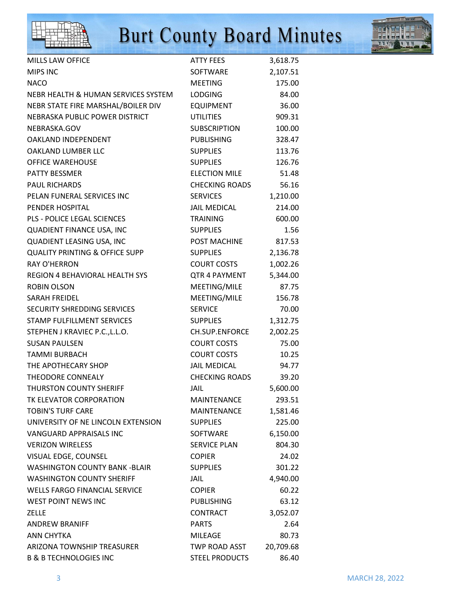



| <b>MILLS LAW OFFICE</b>                   | <b>ATTY FEES</b>      | 3,618.75  |
|-------------------------------------------|-----------------------|-----------|
| MIPS INC                                  | <b>SOFTWARE</b>       | 2,107.51  |
| <b>NACO</b>                               | <b>MEETING</b>        | 175.00    |
| NEBR HEALTH & HUMAN SERVICES SYSTEM       | <b>LODGING</b>        | 84.00     |
| NEBR STATE FIRE MARSHAL/BOILER DIV        | <b>EQUIPMENT</b>      | 36.00     |
| NEBRASKA PUBLIC POWER DISTRICT            | <b>UTILITIES</b>      | 909.31    |
| NEBRASKA.GOV                              | <b>SUBSCRIPTION</b>   | 100.00    |
| <b>OAKLAND INDEPENDENT</b>                | <b>PUBLISHING</b>     | 328.47    |
| OAKLAND LUMBER LLC                        | <b>SUPPLIES</b>       | 113.76    |
| <b>OFFICE WAREHOUSE</b>                   | <b>SUPPLIES</b>       | 126.76    |
| PATTY BESSMER                             | <b>ELECTION MILE</b>  | 51.48     |
| <b>PAUL RICHARDS</b>                      | <b>CHECKING ROADS</b> | 56.16     |
| PELAN FUNERAL SERVICES INC                | <b>SERVICES</b>       | 1,210.00  |
| PENDER HOSPITAL                           | <b>JAIL MEDICAL</b>   | 214.00    |
| <b>PLS - POLICE LEGAL SCIENCES</b>        | <b>TRAINING</b>       | 600.00    |
| QUADIENT FINANCE USA, INC                 | <b>SUPPLIES</b>       | 1.56      |
| QUADIENT LEASING USA, INC                 | POST MACHINE          | 817.53    |
| <b>QUALITY PRINTING &amp; OFFICE SUPP</b> | <b>SUPPLIES</b>       | 2,136.78  |
| <b>RAY O'HERRON</b>                       | <b>COURT COSTS</b>    | 1,002.26  |
| <b>REGION 4 BEHAVIORAL HEALTH SYS</b>     | QTR 4 PAYMENT         | 5,344.00  |
| <b>ROBIN OLSON</b>                        | MEETING/MILE          | 87.75     |
| <b>SARAH FREIDEL</b>                      | MEETING/MILE          | 156.78    |
| SECURITY SHREDDING SERVICES               | <b>SERVICE</b>        | 70.00     |
| STAMP FULFILLMENT SERVICES                | <b>SUPPLIES</b>       | 1,312.75  |
| STEPHEN J KRAVIEC P.C., L.L.O.            | CH.SUP.ENFORCE        | 2,002.25  |
| <b>SUSAN PAULSEN</b>                      | <b>COURT COSTS</b>    | 75.00     |
| TAMMI BURBACH                             | <b>COURT COSTS</b>    | 10.25     |
| THE APOTHECARY SHOP                       | <b>JAIL MEDICAL</b>   | 94.77     |
| THEODORE CONNEALY                         | <b>CHECKING ROADS</b> | 39.20     |
| <b>THURSTON COUNTY SHERIFF</b>            | JAIL                  | 5,600.00  |
| TK ELEVATOR CORPORATION                   | <b>MAINTENANCE</b>    | 293.51    |
| <b>TOBIN'S TURF CARE</b>                  | MAINTENANCE           | 1,581.46  |
| UNIVERSITY OF NE LINCOLN EXTENSION        | <b>SUPPLIES</b>       | 225.00    |
| VANGUARD APPRAISALS INC                   | SOFTWARE              | 6,150.00  |
| <b>VERIZON WIRELESS</b>                   | <b>SERVICE PLAN</b>   | 804.30    |
| VISUAL EDGE, COUNSEL                      | <b>COPIER</b>         | 24.02     |
| <b>WASHINGTON COUNTY BANK -BLAIR</b>      | <b>SUPPLIES</b>       | 301.22    |
| <b>WASHINGTON COUNTY SHERIFF</b>          | JAIL                  | 4,940.00  |
| <b>WELLS FARGO FINANCIAL SERVICE</b>      | <b>COPIER</b>         | 60.22     |
| WEST POINT NEWS INC                       | <b>PUBLISHING</b>     | 63.12     |
| <b>ZELLE</b>                              | CONTRACT              | 3,052.07  |
| <b>ANDREW BRANIFF</b>                     | <b>PARTS</b>          | 2.64      |
| <b>ANN CHYTKA</b>                         | <b>MILEAGE</b>        | 80.73     |
| ARIZONA TOWNSHIP TREASURER                | TWP ROAD ASST         | 20,709.68 |
| <b>B &amp; B TECHNOLOGIES INC</b>         | <b>STEEL PRODUCTS</b> | 86.40     |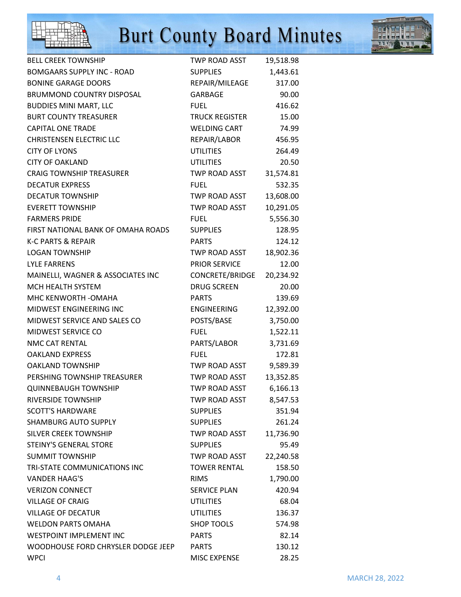



| <b>BELL CREEK TOWNSHIP</b>         | <b>TWP ROAD ASST</b>  | 19,518.98 |
|------------------------------------|-----------------------|-----------|
| <b>BOMGAARS SUPPLY INC - ROAD</b>  | <b>SUPPLIES</b>       | 1,443.61  |
| <b>BONINE GARAGE DOORS</b>         | REPAIR/MILEAGE        | 317.00    |
| <b>BRUMMOND COUNTRY DISPOSAL</b>   | <b>GARBAGE</b>        | 90.00     |
| <b>BUDDIES MINI MART, LLC</b>      | <b>FUEL</b>           | 416.62    |
| <b>BURT COUNTY TREASURER</b>       | <b>TRUCK REGISTER</b> | 15.00     |
| <b>CAPITAL ONE TRADE</b>           | <b>WELDING CART</b>   | 74.99     |
| <b>CHRISTENSEN ELECTRIC LLC</b>    | REPAIR/LABOR          | 456.95    |
| <b>CITY OF LYONS</b>               | <b>UTILITIES</b>      | 264.49    |
| <b>CITY OF OAKLAND</b>             | <b>UTILITIES</b>      | 20.50     |
| <b>CRAIG TOWNSHIP TREASURER</b>    | TWP ROAD ASST         | 31,574.81 |
| <b>DECATUR EXPRESS</b>             | <b>FUEL</b>           | 532.35    |
| <b>DECATUR TOWNSHIP</b>            | TWP ROAD ASST         | 13,608.00 |
| <b>EVERETT TOWNSHIP</b>            | <b>TWP ROAD ASST</b>  | 10,291.05 |
| <b>FARMERS PRIDE</b>               | <b>FUEL</b>           | 5,556.30  |
| FIRST NATIONAL BANK OF OMAHA ROADS | <b>SUPPLIES</b>       | 128.95    |
| <b>K-C PARTS &amp; REPAIR</b>      | <b>PARTS</b>          | 124.12    |
| <b>LOGAN TOWNSHIP</b>              | <b>TWP ROAD ASST</b>  | 18,902.36 |
| <b>LYLE FARRENS</b>                | <b>PRIOR SERVICE</b>  | 12.00     |
| MAINELLI, WAGNER & ASSOCIATES INC  | CONCRETE/BRIDGE       | 20,234.92 |
| MCH HEALTH SYSTEM                  | <b>DRUG SCREEN</b>    | 20.00     |
| MHC KENWORTH - OMAHA               | <b>PARTS</b>          | 139.69    |
| MIDWEST ENGINEERING INC            | ENGINEERING           | 12,392.00 |
| MIDWEST SERVICE AND SALES CO       | POSTS/BASE            | 3,750.00  |
| MIDWEST SERVICE CO                 | <b>FUEL</b>           | 1,522.11  |
| NMC CAT RENTAL                     | PARTS/LABOR           | 3,731.69  |
| <b>OAKLAND EXPRESS</b>             | <b>FUEL</b>           | 172.81    |
| <b>OAKLAND TOWNSHIP</b>            | TWP ROAD ASST         | 9,589.39  |
| PERSHING TOWNSHIP TREASURER        | TWP ROAD ASST         | 13,352.85 |
| <b>QUINNEBAUGH TOWNSHIP</b>        | <b>TWP ROAD ASST</b>  | 6,166.13  |
| RIVERSIDE TOWNSHIP                 | TWP ROAD ASST         | 8,547.53  |
| <b>SCOTT'S HARDWARE</b>            | <b>SUPPLIES</b>       | 351.94    |
| <b>SHAMBURG AUTO SUPPLY</b>        | <b>SUPPLIES</b>       | 261.24    |
| SILVER CREEK TOWNSHIP              | <b>TWP ROAD ASST</b>  | 11,736.90 |
| STEINY'S GENERAL STORE             | <b>SUPPLIES</b>       | 95.49     |
| <b>SUMMIT TOWNSHIP</b>             | TWP ROAD ASST         | 22,240.58 |
| TRI-STATE COMMUNICATIONS INC       | <b>TOWER RENTAL</b>   | 158.50    |
| <b>VANDER HAAG'S</b>               | <b>RIMS</b>           | 1,790.00  |
| <b>VERIZON CONNECT</b>             | <b>SERVICE PLAN</b>   | 420.94    |
| <b>VILLAGE OF CRAIG</b>            | <b>UTILITIES</b>      | 68.04     |
| <b>VILLAGE OF DECATUR</b>          | <b>UTILITIES</b>      | 136.37    |
| <b>WELDON PARTS OMAHA</b>          | <b>SHOP TOOLS</b>     | 574.98    |
| <b>WESTPOINT IMPLEMENT INC</b>     | <b>PARTS</b>          | 82.14     |
| WOODHOUSE FORD CHRYSLER DODGE JEEP | <b>PARTS</b>          | 130.12    |
| <b>WPCI</b>                        | MISC EXPENSE          | 28.25     |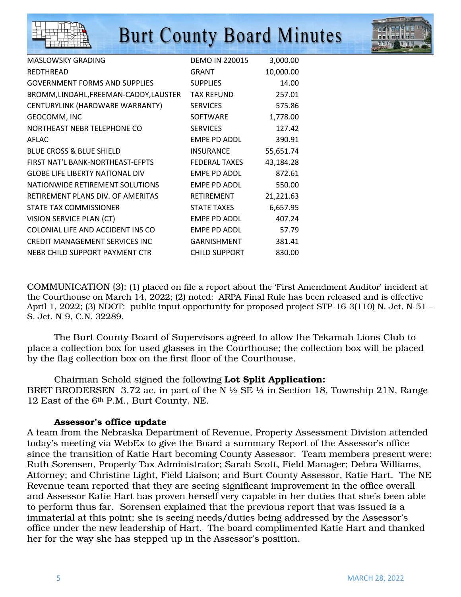



| MASLOWSKY GRADING                      | <b>DEMO IN 220015</b> | 3,000.00  |
|----------------------------------------|-----------------------|-----------|
| <b>REDTHREAD</b>                       | GRANT                 | 10,000.00 |
| <b>GOVERNMENT FORMS AND SUPPLIES</b>   | <b>SUPPLIES</b>       | 14.00     |
| BROMM, LINDAHL, FREEMAN-CADDY, LAUSTER | <b>TAX REFUND</b>     | 257.01    |
| CENTURYLINK (HARDWARE WARRANTY)        | <b>SERVICES</b>       | 575.86    |
| GEOCOMM, INC                           | <b>SOFTWARE</b>       | 1,778.00  |
| NORTHEAST NEBR TELEPHONE CO            | <b>SERVICES</b>       | 127.42    |
| AFLAC                                  | EMPE PD ADDL          | 390.91    |
| <b>BLUE CROSS &amp; BLUE SHIELD</b>    | <b>INSURANCE</b>      | 55,651.74 |
| FIRST NAT'L BANK-NORTHEAST-EFPTS       | <b>FEDERAL TAXES</b>  | 43,184.28 |
| <b>GLOBE LIFE LIBERTY NATIONAL DIV</b> | <b>EMPE PD ADDL</b>   | 872.61    |
| NATIONWIDE RETIREMENT SOLUTIONS        | <b>EMPE PD ADDL</b>   | 550.00    |
| RETIREMENT PLANS DIV. OF AMERITAS      | RETIREMENT            | 21,221.63 |
| STATE TAX COMMISSIONER                 | <b>STATE TAXES</b>    | 6,657.95  |
| VISION SERVICE PLAN (CT)               | EMPE PD ADDL          | 407.24    |
| COLONIAL LIFE AND ACCIDENT INS CO      | <b>EMPE PD ADDL</b>   | 57.79     |
| CREDIT MANAGEMENT SERVICES INC         | <b>GARNISHMENT</b>    | 381.41    |
| NEBR CHILD SUPPORT PAYMENT CTR         | <b>CHILD SUPPORT</b>  | 830.00    |

COMMUNICATION (3): (1) placed on file a report about the 'First Amendment Auditor' incident at the Courthouse on March 14, 2022; (2) noted: ARPA Final Rule has been released and is effective April 1, 2022; (3) NDOT: public input opportunity for proposed project STP-16-3(110) N. Jct. N-51 – S. Jct. N-9, C.N. 32289.

 The Burt County Board of Supervisors agreed to allow the Tekamah Lions Club to place a collection box for used glasses in the Courthouse; the collection box will be placed by the flag collection box on the first floor of the Courthouse.

 Chairman Schold signed the following Lot Split Application: BRET BRODERSEN 3.72 ac. in part of the N  $\frac{1}{2}$  SE  $\frac{1}{4}$  in Section 18, Township 21N, Range 12 East of the 6th P.M., Burt County, NE.

#### Assessor's office update

A team from the Nebraska Department of Revenue, Property Assessment Division attended today's meeting via WebEx to give the Board a summary Report of the Assessor's office since the transition of Katie Hart becoming County Assessor. Team members present were: Ruth Sorensen, Property Tax Administrator; Sarah Scott, Field Manager; Debra Williams, Attorney; and Christine Light, Field Liaison; and Burt County Assessor, Katie Hart. The NE Revenue team reported that they are seeing significant improvement in the office overall and Assessor Katie Hart has proven herself very capable in her duties that she's been able to perform thus far. Sorensen explained that the previous report that was issued is a immaterial at this point; she is seeing needs/duties being addressed by the Assessor's office under the new leadership of Hart. The board complimented Katie Hart and thanked her for the way she has stepped up in the Assessor's position.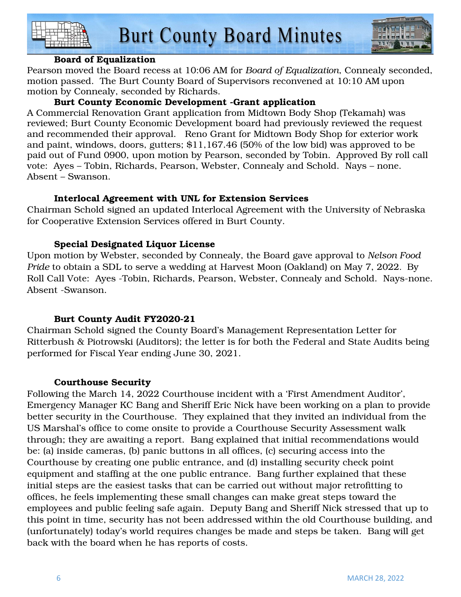



#### Board of Equalization

Pearson moved the Board recess at 10:06 AM for *Board of Equalization*, Connealy seconded, motion passed. The Burt County Board of Supervisors reconvened at 10:10 AM upon motion by Connealy, seconded by Richards.

#### Burt County Economic Development -Grant application

A Commercial Renovation Grant application from Midtown Body Shop (Tekamah) was reviewed; Burt County Economic Development board had previously reviewed the request and recommended their approval. Reno Grant for Midtown Body Shop for exterior work and paint, windows, doors, gutters; \$11,167.46 (50% of the low bid) was approved to be paid out of Fund 0900, upon motion by Pearson, seconded by Tobin. Approved By roll call vote: Ayes – Tobin, Richards, Pearson, Webster, Connealy and Schold. Nays – none. Absent – Swanson.

#### Interlocal Agreement with UNL for Extension Services

Chairman Schold signed an updated Interlocal Agreement with the University of Nebraska for Cooperative Extension Services offered in Burt County.

#### Special Designated Liquor License

Upon motion by Webster, seconded by Connealy, the Board gave approval to *Nelson Food Pride* to obtain a SDL to serve a wedding at Harvest Moon (Oakland) on May 7, 2022. By Roll Call Vote: Ayes -Tobin, Richards, Pearson, Webster, Connealy and Schold. Nays-none. Absent -Swanson.

#### Burt County Audit FY2020-21

Chairman Schold signed the County Board's Management Representation Letter for Ritterbush & Piotrowski (Auditors); the letter is for both the Federal and State Audits being performed for Fiscal Year ending June 30, 2021.

#### Courthouse Security

Following the March 14, 2022 Courthouse incident with a 'First Amendment Auditor', Emergency Manager KC Bang and Sheriff Eric Nick have been working on a plan to provide better security in the Courthouse. They explained that they invited an individual from the US Marshal's office to come onsite to provide a Courthouse Security Assessment walk through; they are awaiting a report. Bang explained that initial recommendations would be: (a) inside cameras, (b) panic buttons in all offices, (c) securing access into the Courthouse by creating one public entrance, and (d) installing security check point equipment and staffing at the one public entrance. Bang further explained that these initial steps are the easiest tasks that can be carried out without major retrofitting to offices, he feels implementing these small changes can make great steps toward the employees and public feeling safe again. Deputy Bang and Sheriff Nick stressed that up to this point in time, security has not been addressed within the old Courthouse building, and (unfortunately) today's world requires changes be made and steps be taken. Bang will get back with the board when he has reports of costs.